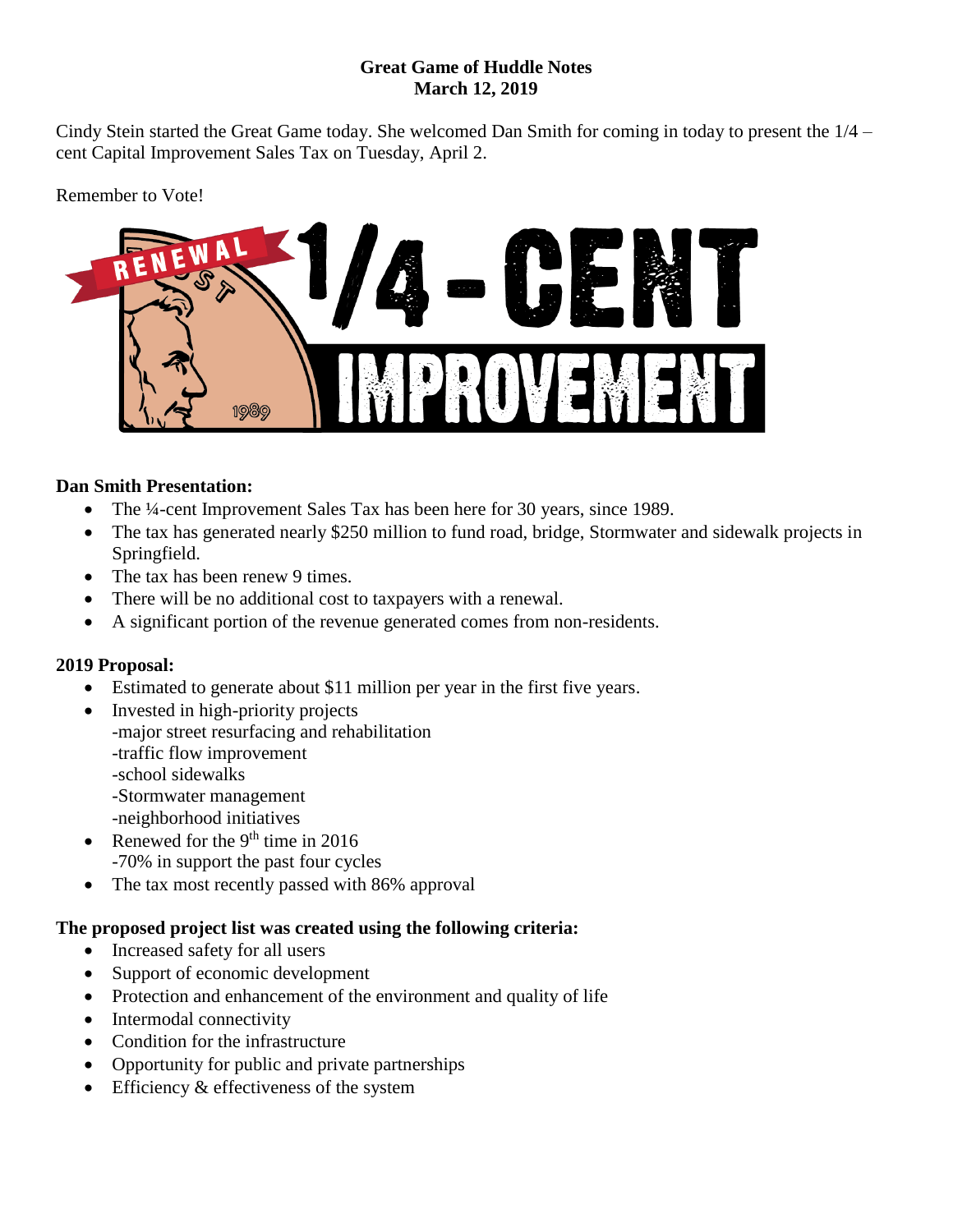#### **Great Game of Huddle Notes March 12, 2019**

Cindy Stein started the Great Game today. She welcomed Dan Smith for coming in today to present the 1/4 – cent Capital Improvement Sales Tax on Tuesday, April 2.

Remember to Vote!



### **Dan Smith Presentation:**

- The ¼-cent Improvement Sales Tax has been here for 30 years, since 1989.
- The tax has generated nearly \$250 million to fund road, bridge, Stormwater and sidewalk projects in Springfield.
- The tax has been renew 9 times.
- There will be no additional cost to taxpayers with a renewal.
- A significant portion of the revenue generated comes from non-residents.

# **2019 Proposal:**

- Estimated to generate about \$11 million per year in the first five years.
- Invested in high-priority projects -major street resurfacing and rehabilitation -traffic flow improvement -school sidewalks -Stormwater management -neighborhood initiatives
- Renewed for the 9<sup>th</sup> time in 2016 -70% in support the past four cycles
- The tax most recently passed with 86% approval

# **The proposed project list was created using the following criteria:**

- Increased safety for all users
- Support of economic development
- Protection and enhancement of the environment and quality of life
- Intermodal connectivity
- Condition for the infrastructure
- Opportunity for public and private partnerships
- Efficiency & effectiveness of the system